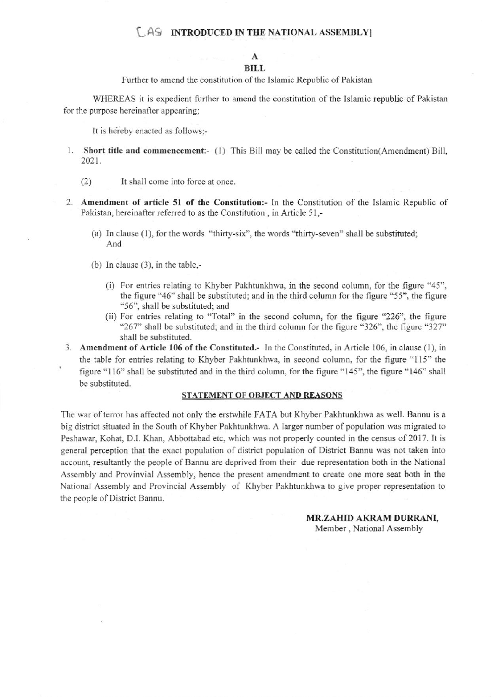## **LAS INTRODUCED IN THE NATIONAL ASSEMBLY**

## A **BILL**

Further to amend the constitution of the Islamic Republic of Pakistan

WHEREAS it is expedient further to amend the constitution of the Islamic republic of Pakistan for the purpose hereinafter appearing;

It is hereby enacted as follows:-

- 1. Short title and commencement:- (1) This Bill may be called the Constitution (Amendment) Bill, 2021.
	- $(2)$ It shall come into force at once.
- 2. Amendment of article 51 of the Constitution:- In the Constitution of the Islamic Republic of Pakistan, hereinafter referred to as the Constitution, in Article 51,-
	- (a) In clause (1), for the words "thirty-six", the words "thirty-seven" shall be substituted; And
	- (b) In clause  $(3)$ , in the table,-
		- (i) For entries relating to Khyber Pakhtunkhwa, in the second column, for the figure "45", the figure "46" shall be substituted; and in the third column for the figure "55", the figure "56", shall be substituted; and
		- (ii) For entries relating to "Total" in the second column, for the figure "226", the figure "267" shall be substituted; and in the third column for the figure "326", the figure "327" shall be substituted.
- 3. Amendment of Article 106 of the Constituted.- In the Constituted, in Article 106, in clause (1), in the table for entries relating to Khyber Pakhtunkhwa, in second column, for the figure "115" the figure "116" shall be substituted and in the third column, for the figure "145", the figure "146" shall be substituted.

## STATEMENT OF OBJECT AND REASONS

The war of terror has affected not only the erstwhile FATA but Khyber Pakhtunkhwa as well. Bannu is a big district situated in the South of Khyber Pakhtunkhwa. A larger number of population was migrated to Peshawar, Kohat, D.I. Khan, Abbottabad etc, which was not properly counted in the census of 2017. It is general perception that the exact population of district population of District Bannu was not taken into account, resultantly the people of Bannu are deprived from their due representation both in the National Assembly and Provinvial Assembly, hence the present amendment to create one more seat both in the National Assembly and Provincial Assembly of Khyber Pakhtunkhwa to give proper representation to the people of District Bannu.

> MR.ZAHID AKRAM DURRANI, Member, National Assembly